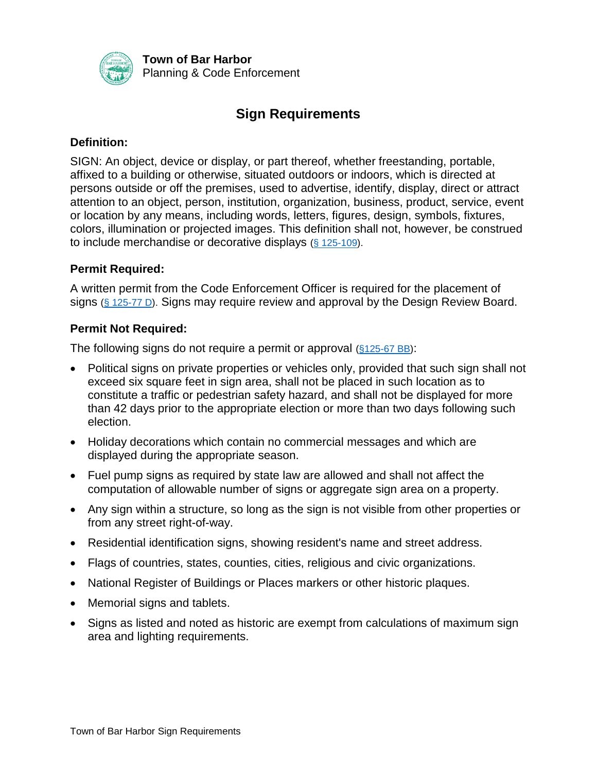

**Town of Bar Harbor** Planning & Code Enforcement

# **Sign Requirements**

#### **Definition:**

SIGN: An object, device or display, or part thereof, whether freestanding, portable, affixed to a building or otherwise, situated outdoors or indoors, which is directed at persons outside or off the premises, used to advertise, identify, display, direct or attract attention to an object, person, institution, organization, business, product, service, event or location by any means, including words, letters, figures, design, symbols, fixtures, colors, illumination or projected images. This definition shall not, however, be construed to include merchandise or decorative displays  $(§ 125-109)$ .

### **Permit Required:**

A written permit from the Code Enforcement Officer is required for the placement of signs [\(§ 125-77 D\)](https://ecode360.com/8375747?highlight=&searchId=32358694635173145). Signs may require review and approval by the Design Review Board.

### **Permit Not Required:**

The following signs do not require a permit or approval (\$125-67 BB):

- Political signs on private properties or vehicles only, provided that such sign shall not exceed six square feet in sign area, shall not be placed in such location as to constitute a traffic or pedestrian safety hazard, and shall not be displayed for more than 42 days prior to the appropriate election or more than two days following such election.
- Holiday decorations which contain no commercial messages and which are displayed during the appropriate season.
- Fuel pump signs as required by state law are allowed and shall not affect the computation of allowable number of signs or aggregate sign area on a property.
- Any sign within a structure, so long as the sign is not visible from other properties or from any street right-of-way.
- Residential identification signs, showing resident's name and street address.
- Flags of countries, states, counties, cities, religious and civic organizations.
- National Register of Buildings or Places markers or other historic plaques.
- Memorial signs and tablets.
- Signs as listed and noted as historic are exempt from calculations of maximum sign area and lighting requirements.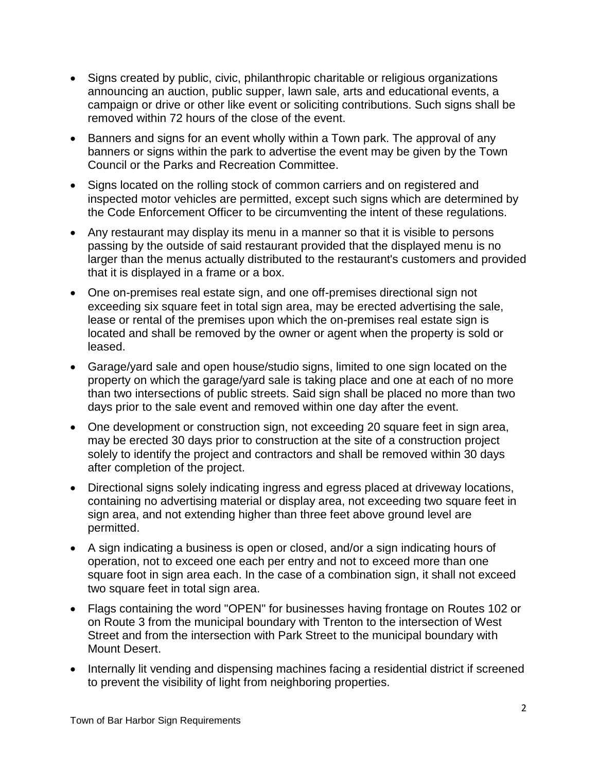- Signs created by public, civic, philanthropic charitable or religious organizations announcing an auction, public supper, lawn sale, arts and educational events, a campaign or drive or other like event or soliciting contributions. Such signs shall be removed within 72 hours of the close of the event.
- Banners and signs for an event wholly within a Town park. The approval of any banners or signs within the park to advertise the event may be given by the Town Council or the Parks and Recreation Committee.
- Signs located on the rolling stock of common carriers and on registered and inspected motor vehicles are permitted, except such signs which are determined by the Code Enforcement Officer to be circumventing the intent of these regulations.
- Any restaurant may display its menu in a manner so that it is visible to persons passing by the outside of said restaurant provided that the displayed menu is no larger than the menus actually distributed to the restaurant's customers and provided that it is displayed in a frame or a box.
- One on-premises real estate sign, and one off-premises directional sign not exceeding six square feet in total sign area, may be erected advertising the sale, lease or rental of the premises upon which the on-premises real estate sign is located and shall be removed by the owner or agent when the property is sold or leased.
- Garage/yard sale and open house/studio signs, limited to one sign located on the property on which the garage/yard sale is taking place and one at each of no more than two intersections of public streets. Said sign shall be placed no more than two days prior to the sale event and removed within one day after the event.
- One development or construction sign, not exceeding 20 square feet in sign area, may be erected 30 days prior to construction at the site of a construction project solely to identify the project and contractors and shall be removed within 30 days after completion of the project.
- Directional signs solely indicating ingress and egress placed at driveway locations, containing no advertising material or display area, not exceeding two square feet in sign area, and not extending higher than three feet above ground level are permitted.
- A sign indicating a business is open or closed, and/or a sign indicating hours of operation, not to exceed one each per entry and not to exceed more than one square foot in sign area each. In the case of a combination sign, it shall not exceed two square feet in total sign area.
- Flags containing the word "OPEN" for businesses having frontage on Routes 102 or on Route 3 from the municipal boundary with Trenton to the intersection of West Street and from the intersection with Park Street to the municipal boundary with Mount Desert.
- Internally lit vending and dispensing machines facing a residential district if screened to prevent the visibility of light from neighboring properties.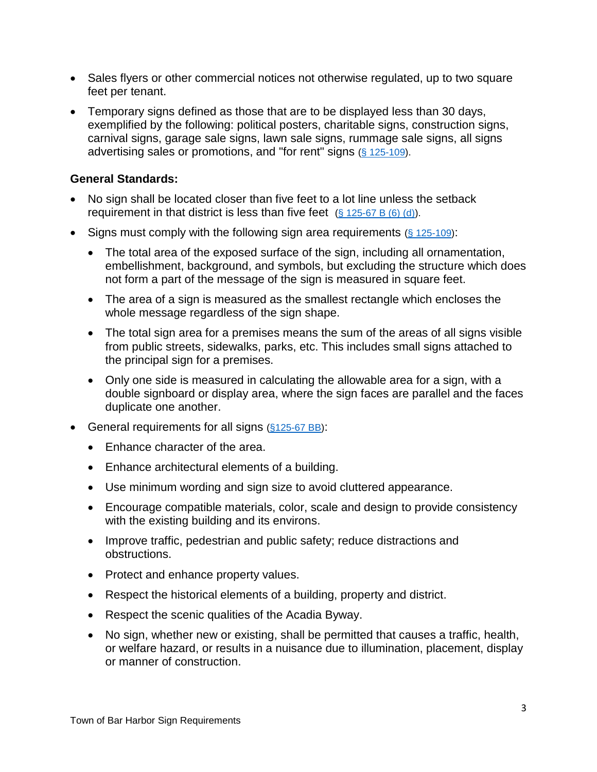- Sales flyers or other commercial notices not otherwise regulated, up to two square feet per tenant.
- Temporary signs defined as those that are to be displayed less than 30 days, exemplified by the following: political posters, charitable signs, construction signs, carnival signs, garage sale signs, lawn sale signs, rummage sale signs, all signs advertising sales or promotions, and "for rent" signs [\(§ 125-109\)](https://ecode360.com/8375980?highlight=&searchId=32429843652649640#8375980).

### **General Standards:**

- No sign shall be located closer than five feet to a lot line unless the setback requirement in that district is less than five feet  $(S$  125-67 B  $(6)$   $(d)$ ).
- Signs must comply with the following sign area requirements  $(§ 125-109)$ :
	- The total area of the exposed surface of the sign, including all ornamentation, embellishment, background, and symbols, but excluding the structure which does not form a part of the message of the sign is measured in square feet.
	- The area of a sign is measured as the smallest rectangle which encloses the whole message regardless of the sign shape.
	- The total sign area for a premises means the sum of the areas of all signs visible from public streets, sidewalks, parks, etc. This includes small signs attached to the principal sign for a premises.
	- Only one side is measured in calculating the allowable area for a sign, with a double signboard or display area, where the sign faces are parallel and the faces duplicate one another.
- General requirements for all signs (\$125-67 BB):
	- Enhance character of the area.
	- Enhance architectural elements of a building.
	- Use minimum wording and sign size to avoid cluttered appearance.
	- Encourage compatible materials, color, scale and design to provide consistency with the existing building and its environs.
	- Improve traffic, pedestrian and public safety; reduce distractions and obstructions.
	- Protect and enhance property values.
	- Respect the historical elements of a building, property and district.
	- Respect the scenic qualities of the Acadia Byway.
	- No sign, whether new or existing, shall be permitted that causes a traffic, health, or welfare hazard, or results in a nuisance due to illumination, placement, display or manner of construction.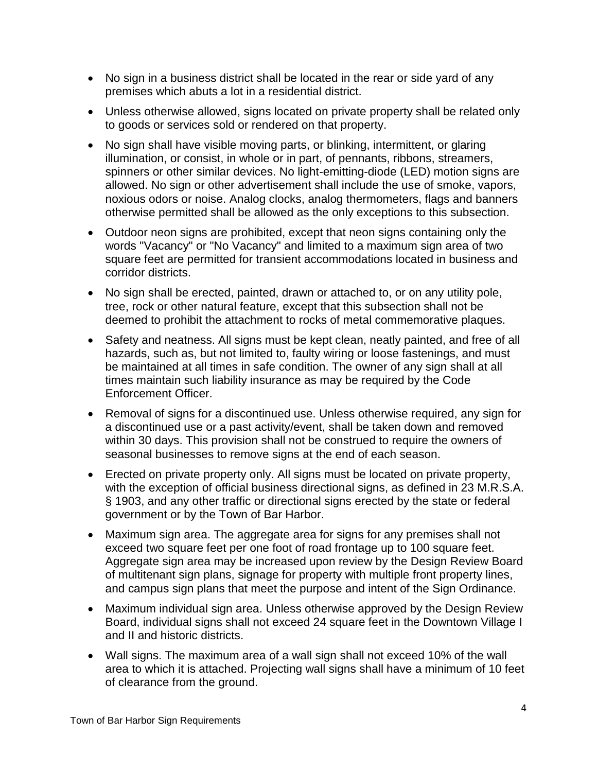- No sign in a business district shall be located in the rear or side yard of any premises which abuts a lot in a residential district.
- Unless otherwise allowed, signs located on private property shall be related only to goods or services sold or rendered on that property.
- No sign shall have visible moving parts, or blinking, intermittent, or glaring illumination, or consist, in whole or in part, of pennants, ribbons, streamers, spinners or other similar devices. No light-emitting-diode (LED) motion signs are allowed. No sign or other advertisement shall include the use of smoke, vapors, noxious odors or noise. Analog clocks, analog thermometers, flags and banners otherwise permitted shall be allowed as the only exceptions to this subsection.
- Outdoor neon signs are prohibited, except that neon signs containing only the words "Vacancy" or "No Vacancy" and limited to a maximum sign area of two square feet are permitted for transient accommodations located in business and corridor districts.
- No sign shall be erected, painted, drawn or attached to, or on any utility pole, tree, rock or other natural feature, except that this subsection shall not be deemed to prohibit the attachment to rocks of metal commemorative plaques.
- Safety and neatness. All signs must be kept clean, neatly painted, and free of all hazards, such as, but not limited to, faulty wiring or loose fastenings, and must be maintained at all times in safe condition. The owner of any sign shall at all times maintain such liability insurance as may be required by the Code Enforcement Officer.
- Removal of signs for a discontinued use. Unless otherwise required, any sign for a discontinued use or a past activity/event, shall be taken down and removed within 30 days. This provision shall not be construed to require the owners of seasonal businesses to remove signs at the end of each season.
- Erected on private property only. All signs must be located on private property, with the exception of official business directional signs, as defined in 23 M.R.S.A. § 1903, and any other traffic or directional signs erected by the state or federal government or by the Town of Bar Harbor.
- Maximum sign area. The aggregate area for signs for any premises shall not exceed two square feet per one foot of road frontage up to 100 square feet. Aggregate sign area may be increased upon review by the Design Review Board of multitenant sign plans, signage for property with multiple front property lines, and campus sign plans that meet the purpose and intent of the Sign Ordinance.
- Maximum individual sign area. Unless otherwise approved by the Design Review Board, individual signs shall not exceed 24 square feet in the Downtown Village I and II and historic districts.
- Wall signs. The maximum area of a wall sign shall not exceed 10% of the wall area to which it is attached. Projecting wall signs shall have a minimum of 10 feet of clearance from the ground.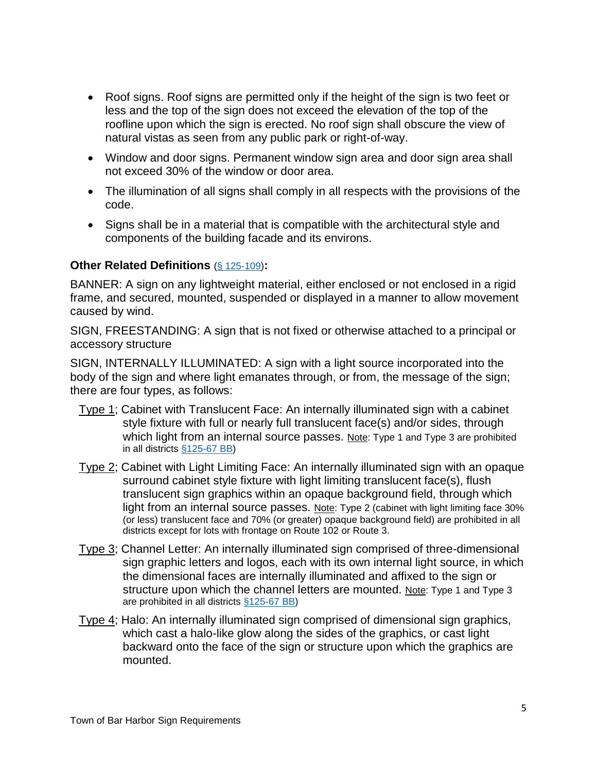- Roof signs. Roof signs are permitted only if the height of the sign is two feet or less and the top of the sign does not exceed the elevation of the top of the roofline upon which the sign is erected. No roof sign shall obscure the view of natural vistas as seen from any public park or right-of-way.
- Window and door signs. Permanent window sign area and door sign area shall not exceed 30% of the window or door area.
- The illumination of all signs shall comply in all respects with the provisions of the code.
- Signs shall be in a material that is compatible with the architectural style and components of the building facade and its environs.

#### **Other Related Definitions** [\(§ 125-109\)](https://ecode360.com/8376095?highlight=fence&searchId=32358972237109855#8376095)**:**

BANNER: A sign on any lightweight material, either enclosed or not enclosed in a rigid frame, and secured, mounted, suspended or displayed in a manner to allow movement caused by wind.

SIGN, FREESTANDING: A sign that is not fixed or otherwise attached to a principal or accessory structure

SIGN, INTERNALLY ILLUMINATED: A sign with a light source incorporated into the body of the sign and where light emanates through, or from, the message of the sign; there are four types, as follows:

- Type 1; Cabinet with Translucent Face: An internally illuminated sign with a cabinet style fixture with full or nearly full translucent face(s) and/or sides, through which light from an internal source passes. Note: Type 1 and Type 3 are prohibited in all districts [§125-67 BB\)](https://ecode360.com/13550128#13550128)
- Type 2; Cabinet with Light Limiting Face: An internally illuminated sign with an opaque surround cabinet style fixture with light limiting translucent face(s), flush translucent sign graphics within an opaque background field, through which light from an internal source passes. Note: Type 2 (cabinet with light limiting face 30% (or less) translucent face and 70% (or greater) opaque background field) are prohibited in all districts except for lots with frontage on Route 102 or Route 3.
- Type 3; Channel Letter: An internally illuminated sign comprised of three-dimensional sign graphic letters and logos, each with its own internal light source, in which the dimensional faces are internally illuminated and affixed to the sign or structure upon which the channel letters are mounted. Note: Type 1 and Type 3 are prohibited in all districts [§125-67 BB\)](https://ecode360.com/13550128#13550128)
- Type 4; Halo: An internally illuminated sign comprised of dimensional sign graphics, which cast a halo-like glow along the sides of the graphics, or cast light backward onto the face of the sign or structure upon which the graphics are mounted.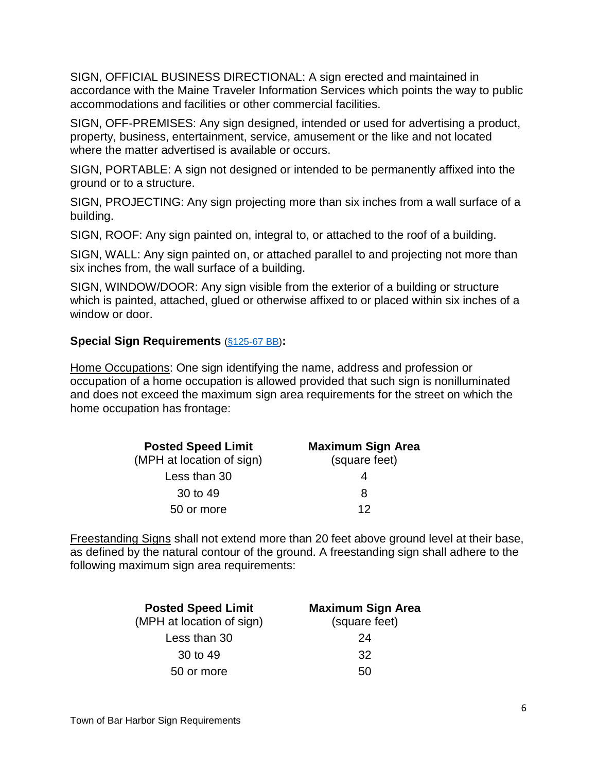SIGN, OFFICIAL BUSINESS DIRECTIONAL: A sign erected and maintained in accordance with the Maine Traveler Information Services which points the way to public accommodations and facilities or other commercial facilities.

SIGN, OFF-PREMISES: Any sign designed, intended or used for advertising a product, property, business, entertainment, service, amusement or the like and not located where the matter advertised is available or occurs.

SIGN, PORTABLE: A sign not designed or intended to be permanently affixed into the ground or to a structure.

SIGN, PROJECTING: Any sign projecting more than six inches from a wall surface of a building.

SIGN, ROOF: Any sign painted on, integral to, or attached to the roof of a building.

SIGN, WALL: Any sign painted on, or attached parallel to and projecting not more than six inches from, the wall surface of a building.

SIGN, WINDOW/DOOR: Any sign visible from the exterior of a building or structure which is painted, attached, glued or otherwise affixed to or placed within six inches of a window or door.

### **Special Sign Requirements** [\(§125-67 BB\)](https://ecode360.com/13550128#13550128)**:**

Home Occupations: One sign identifying the name, address and profession or occupation of a home occupation is allowed provided that such sign is nonilluminated and does not exceed the maximum sign area requirements for the street on which the home occupation has frontage:

| <b>Posted Speed Limit</b> | <b>Maximum Sign Area</b> |  |
|---------------------------|--------------------------|--|
| (MPH at location of sign) | (square feet)            |  |
| Less than 30              |                          |  |
| 30 to 49                  | 8                        |  |
| 50 or more                | 12                       |  |

Freestanding Signs shall not extend more than 20 feet above ground level at their base, as defined by the natural contour of the ground. A freestanding sign shall adhere to the following maximum sign area requirements:

| <b>Posted Speed Limit</b> | <b>Maximum Sign Area</b> |
|---------------------------|--------------------------|
| (MPH at location of sign) | (square feet)            |
| Less than 30              | 24                       |
| 30 to 49                  | 32                       |
| 50 or more                | 50                       |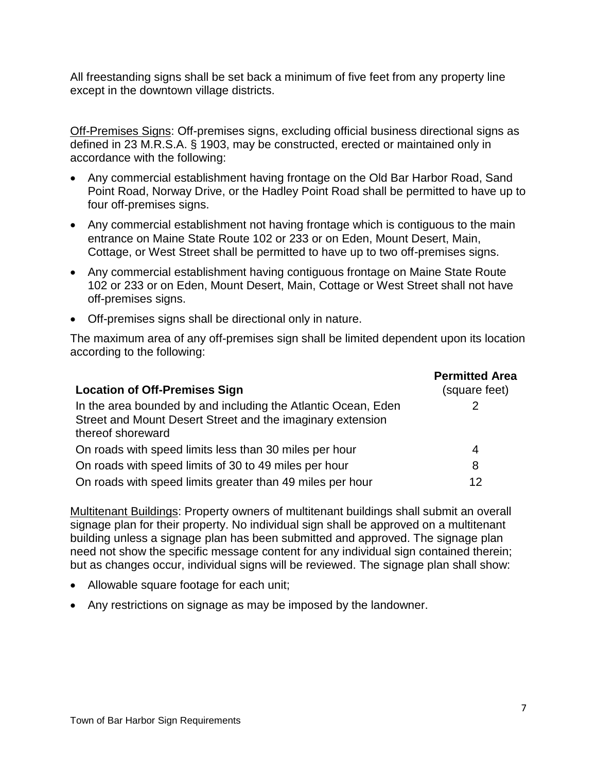All freestanding signs shall be set back a minimum of five feet from any property line except in the downtown village districts.

Off-Premises Signs: Off-premises signs, excluding official business directional signs as defined in 23 M.R.S.A. § 1903, may be constructed, erected or maintained only in accordance with the following:

- Any commercial establishment having frontage on the Old Bar Harbor Road, Sand Point Road, Norway Drive, or the Hadley Point Road shall be permitted to have up to four off-premises signs.
- Any commercial establishment not having frontage which is contiguous to the main entrance on Maine State Route 102 or 233 or on Eden, Mount Desert, Main, Cottage, or West Street shall be permitted to have up to two off-premises signs.
- Any commercial establishment having contiguous frontage on Maine State Route 102 or 233 or on Eden, Mount Desert, Main, Cottage or West Street shall not have off-premises signs.
- Off-premises signs shall be directional only in nature.

The maximum area of any off-premises sign shall be limited dependent upon its location according to the following:

| <b>Location of Off-Premises Sign</b>                                                                                                             | <b>Permitted Area</b><br>(square feet) |
|--------------------------------------------------------------------------------------------------------------------------------------------------|----------------------------------------|
| In the area bounded by and including the Atlantic Ocean, Eden<br>Street and Mount Desert Street and the imaginary extension<br>thereof shoreward |                                        |
| On roads with speed limits less than 30 miles per hour                                                                                           | 4                                      |
| On roads with speed limits of 30 to 49 miles per hour                                                                                            | 8                                      |
| On roads with speed limits greater than 49 miles per hour                                                                                        | 12                                     |

Multitenant Buildings: Property owners of multitenant buildings shall submit an overall signage plan for their property. No individual sign shall be approved on a multitenant building unless a signage plan has been submitted and approved. The signage plan need not show the specific message content for any individual sign contained therein; but as changes occur, individual signs will be reviewed. The signage plan shall show:

- Allowable square footage for each unit;
- Any restrictions on signage as may be imposed by the landowner.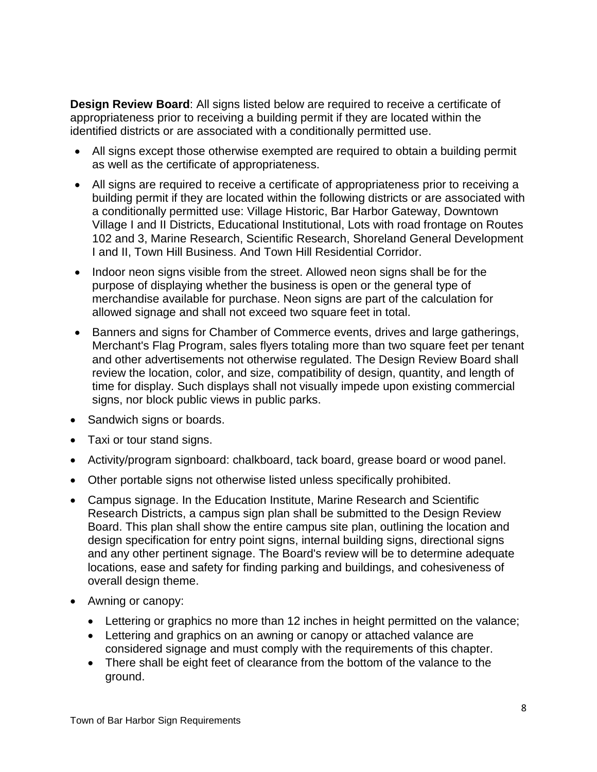**Design Review Board**: All signs listed below are required to receive a certificate of appropriateness prior to receiving a building permit if they are located within the identified districts or are associated with a conditionally permitted use.

- All signs except those otherwise exempted are required to obtain a building permit as well as the certificate of appropriateness.
- All signs are required to receive a certificate of appropriateness prior to receiving a building permit if they are located within the following districts or are associated with a conditionally permitted use: Village Historic, Bar Harbor Gateway, Downtown Village I and II Districts, Educational Institutional, Lots with road frontage on Routes 102 and 3, Marine Research, Scientific Research, Shoreland General Development I and II, Town Hill Business. And Town Hill Residential Corridor.
- Indoor neon signs visible from the street. Allowed neon signs shall be for the purpose of displaying whether the business is open or the general type of merchandise available for purchase. Neon signs are part of the calculation for allowed signage and shall not exceed two square feet in total.
- Banners and signs for Chamber of Commerce events, drives and large gatherings, Merchant's Flag Program, sales flyers totaling more than two square feet per tenant and other advertisements not otherwise regulated. The Design Review Board shall review the location, color, and size, compatibility of design, quantity, and length of time for display. Such displays shall not visually impede upon existing commercial signs, nor block public views in public parks.
- Sandwich signs or boards.
- Taxi or tour stand signs.
- Activity/program signboard: chalkboard, tack board, grease board or wood panel.
- Other portable signs not otherwise listed unless specifically prohibited.
- Campus signage. In the Education Institute, Marine Research and Scientific Research Districts, a campus sign plan shall be submitted to the Design Review Board. This plan shall show the entire campus site plan, outlining the location and design specification for entry point signs, internal building signs, directional signs and any other pertinent signage. The Board's review will be to determine adequate locations, ease and safety for finding parking and buildings, and cohesiveness of overall design theme.
- Awning or canopy:
	- Lettering or graphics no more than 12 inches in height permitted on the valance;
	- Lettering and graphics on an awning or canopy or attached valance are considered signage and must comply with the requirements of this chapter.
	- There shall be eight feet of clearance from the bottom of the valance to the ground.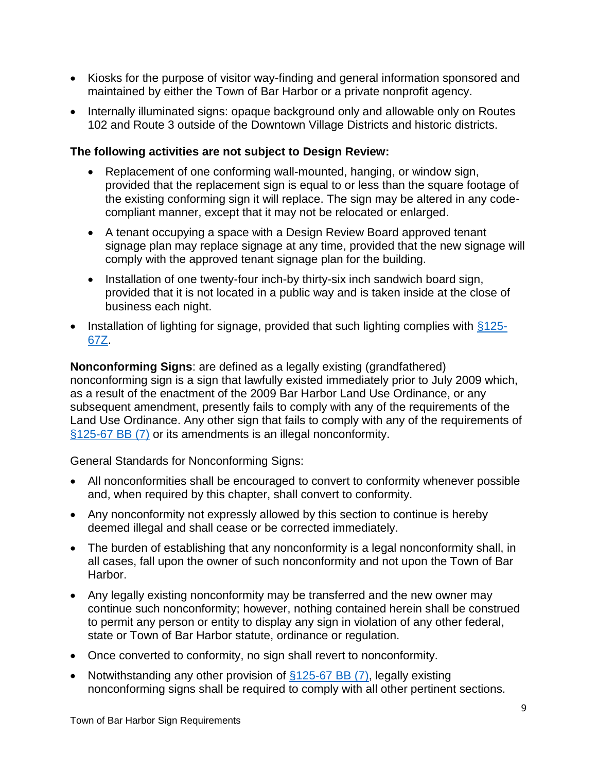- Kiosks for the purpose of visitor way-finding and general information sponsored and maintained by either the Town of Bar Harbor or a private nonprofit agency.
- Internally illuminated signs: opaque background only and allowable only on Routes 102 and Route 3 outside of the Downtown Village Districts and historic districts.

## **The following activities are not subject to Design Review:**

- Replacement of one conforming wall-mounted, hanging, or window sign, provided that the replacement sign is equal to or less than the square footage of the existing conforming sign it will replace. The sign may be altered in any codecompliant manner, except that it may not be relocated or enlarged.
- A tenant occupying a space with a Design Review Board approved tenant signage plan may replace signage at any time, provided that the new signage will comply with the approved tenant signage plan for the building.
- Installation of one twenty-four inch-by thirty-six inch sandwich board sign, provided that it is not located in a public way and is taken inside at the close of business each night.
- Installation of lighting for signage, provided that such lighting complies with  $§125-$ [67Z.](https://ecode360.com/8375155#8375155)

**Nonconforming Signs**: are defined as a legally existing (grandfathered) nonconforming sign is a sign that lawfully existed immediately prior to July 2009 which, as a result of the enactment of the 2009 Bar Harbor Land Use Ordinance, or any subsequent amendment, presently fails to comply with any of the requirements of the Land Use Ordinance. Any other sign that fails to comply with any of the requirements of [§125-67 BB \(7\)](https://ecode360.com/8375226#8375226) or its amendments is an illegal nonconformity.

General Standards for Nonconforming Signs:

- All nonconformities shall be encouraged to convert to conformity whenever possible and, when required by this chapter, shall convert to conformity.
- Any nonconformity not expressly allowed by this section to continue is hereby deemed illegal and shall cease or be corrected immediately.
- The burden of establishing that any nonconformity is a legal nonconformity shall, in all cases, fall upon the owner of such nonconformity and not upon the Town of Bar Harbor.
- Any legally existing nonconformity may be transferred and the new owner may continue such nonconformity; however, nothing contained herein shall be construed to permit any person or entity to display any sign in violation of any other federal, state or Town of Bar Harbor statute, ordinance or regulation.
- Once converted to conformity, no sign shall revert to nonconformity.
- Notwithstanding any other provision of  $\S125-67$  BB (7), legally existing nonconforming signs shall be required to comply with all other pertinent sections.